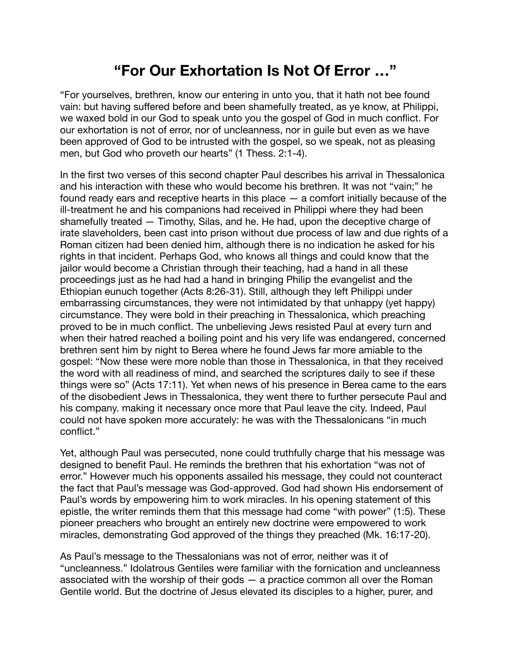## **"For Our Exhortation Is Not Of Error …"**

"For yourselves, brethren, know our entering in unto you, that it hath not bee found vain: but having suffered before and been shamefully treated, as ye know, at Philippi, we waxed bold in our God to speak unto you the gospel of God in much conflict. For our exhortation is not of error, nor of uncleanness, nor in guile but even as we have been approved of God to be intrusted with the gospel, so we speak, not as pleasing men, but God who proveth our hearts" (1 Thess. 2:1-4).

In the first two verses of this second chapter Paul describes his arrival in Thessalonica and his interaction with these who would become his brethren. It was not "vain;" he found ready ears and receptive hearts in this place — a comfort initially because of the ill-treatment he and his companions had received in Philippi where they had been shamefully treated — Timothy, Silas, and he. He had, upon the deceptive charge of irate slaveholders, been cast into prison without due process of law and due rights of a Roman citizen had been denied him, although there is no indication he asked for his rights in that incident. Perhaps God, who knows all things and could know that the jailor would become a Christian through their teaching, had a hand in all these proceedings just as he had had a hand in bringing Philip the evangelist and the Ethiopian eunuch together (Acts 8:26-31). Still, although they left Philippi under embarrassing circumstances, they were not intimidated by that unhappy (yet happy) circumstance. They were bold in their preaching in Thessalonica, which preaching proved to be in much conflict. The unbelieving Jews resisted Paul at every turn and when their hatred reached a boiling point and his very life was endangered, concerned brethren sent him by night to Berea where he found Jews far more amiable to the gospel: "Now these were more noble than those in Thessalonica, in that they received the word with all readiness of mind, and searched the scriptures daily to see if these things were so" (Acts 17:11). Yet when news of his presence in Berea came to the ears of the disobedient Jews in Thessalonica, they went there to further persecute Paul and his company. making it necessary once more that Paul leave the city. Indeed, Paul could not have spoken more accurately: he was with the Thessalonicans "in much conflict."

Yet, although Paul was persecuted, none could truthfully charge that his message was designed to benefit Paul. He reminds the brethren that his exhortation "was not of error." However much his opponents assailed his message, they could not counteract the fact that Paul's message was God-approved. God had shown His endorsement of Paul's words by empowering him to work miracles. In his opening statement of this epistle, the writer reminds them that this message had come "with power" (1:5). These pioneer preachers who brought an entirely new doctrine were empowered to work miracles, demonstrating God approved of the things they preached (Mk. 16:17-20).

As Paul's message to the Thessalonians was not of error, neither was it of "uncleanness." Idolatrous Gentiles were familiar with the fornication and uncleanness associated with the worship of their gods — a practice common all over the Roman Gentile world. But the doctrine of Jesus elevated its disciples to a higher, purer, and